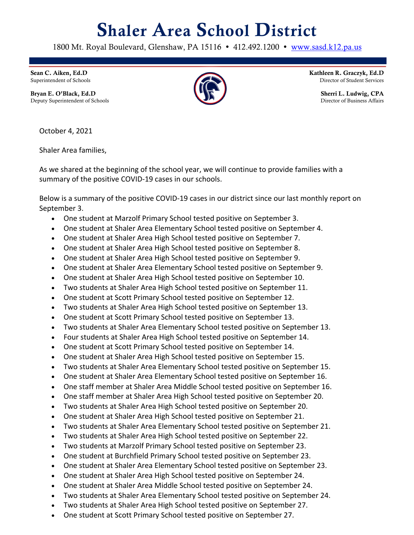## Shaler Area School District

1800 Mt. Royal Boulevard, Glenshaw, PA 15116 • 412.492.1200 • www.sasd.k12.pa.us

Sean C. Aiken, Ed.D Superintendent of Schools

Bryan E. O'Black, Ed.D Deputy Superintendent of Schools



Kathleen R. Graczyk, Ed.D Director of Student Services

> Sherri L. Ludwig, CPA Director of Business Affairs

October 4, 2021

Shaler Area families,

As we shared at the beginning of the school year, we will continue to provide families with a summary of the positive COVID-19 cases in our schools.

Below is a summary of the positive COVID-19 cases in our district since our last monthly report on September 3.

- One student at Marzolf Primary School tested positive on September 3.
- One student at Shaler Area Elementary School tested positive on September 4.
- One student at Shaler Area High School tested positive on September 7.
- One student at Shaler Area High School tested positive on September 8.
- One student at Shaler Area High School tested positive on September 9.
- One student at Shaler Area Elementary School tested positive on September 9.
- One student at Shaler Area High School tested positive on September 10.
- Two students at Shaler Area High School tested positive on September 11.
- One student at Scott Primary School tested positive on September 12.
- Two students at Shaler Area High School tested positive on September 13.
- One student at Scott Primary School tested positive on September 13.
- Two students at Shaler Area Elementary School tested positive on September 13.
- Four students at Shaler Area High School tested positive on September 14.
- One student at Scott Primary School tested positive on September 14.
- One student at Shaler Area High School tested positive on September 15.
- Two students at Shaler Area Elementary School tested positive on September 15.
- One student at Shaler Area Elementary School tested positive on September 16.
- One staff member at Shaler Area Middle School tested positive on September 16.
- One staff member at Shaler Area High School tested positive on September 20.
- Two students at Shaler Area High School tested positive on September 20.
- One student at Shaler Area High School tested positive on September 21.
- Two students at Shaler Area Elementary School tested positive on September 21.
- Two students at Shaler Area High School tested positive on September 22.
- Two students at Marzolf Primary School tested positive on September 23.
- One student at Burchfield Primary School tested positive on September 23.
- One student at Shaler Area Elementary School tested positive on September 23.
- One student at Shaler Area High School tested positive on September 24.
- One student at Shaler Area Middle School tested positive on September 24.
- Two students at Shaler Area Elementary School tested positive on September 24.
- Two students at Shaler Area High School tested positive on September 27.
- One student at Scott Primary School tested positive on September 27.